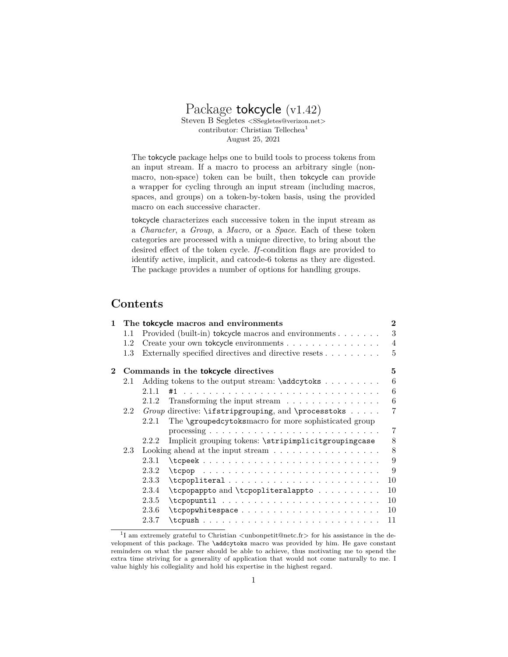# Package tokcycle (v1.42) Steven B Segletes *<*SSegletes@verizon.net*>* contributor: Christian Tellechea<sup>1</sup> August 25, 2021

The tokcycle package helps one to build tools to process tokens from an input stream. If a macro to process an arbitrary single (nonmacro, non-space) token can be built, then tokcycle can provide a wrapper for cycling through an input stream (including macros, spaces, and groups) on a token-by-token basis, using the provided macro on each successive character.

tokcycle characterizes each successive token in the input stream as a *Character*, a *Group*, a *Macro*, or a *Space*. Each of these token categories are processed with a unique directive, to bring about the desired effect of the token cycle. *If* -condition flags are provided to identify active, implicit, and catcode-6 tokens as they are digested. The package provides a number of options for handling groups.

# **Contents**

| 1.       | The tokeycle macros and environments       |                                                                        |                                                             |                |  |  |
|----------|--------------------------------------------|------------------------------------------------------------------------|-------------------------------------------------------------|----------------|--|--|
|          | $1.1\,$                                    |                                                                        | Provided (built-in) tokeycle macros and environments        | 3              |  |  |
|          | 1.2                                        |                                                                        | Create your own tokcycle environments                       | $\overline{4}$ |  |  |
|          | $1.3\,$                                    |                                                                        | Externally specified directives and directive resets        | 5              |  |  |
| $\bf{2}$ | Commands in the <b>tokcycle</b> directives |                                                                        |                                                             |                |  |  |
|          | 2.1                                        |                                                                        | Adding tokens to the output stream: \addcytoks              | 6              |  |  |
|          |                                            | 2.1.1                                                                  | #1                                                          | 6              |  |  |
|          |                                            | 2.1.2                                                                  | Transforming the input stream                               | 6              |  |  |
|          | $2.2\,$                                    |                                                                        | Group directive: \ifstripgrouping, and \processtoks         | 7              |  |  |
|          |                                            | 2.2.1                                                                  | The <b>\groupedcytoksmacro</b> for more sophisticated group |                |  |  |
|          |                                            |                                                                        |                                                             | 7              |  |  |
|          |                                            | 2.2.2                                                                  | Implicit grouping tokens: \stripimplicitgroupingcase        | 8              |  |  |
|          | 2.3                                        | Looking ahead at the input stream $\ldots \ldots \ldots \ldots \ldots$ |                                                             |                |  |  |
|          |                                            | 2.3.1                                                                  | $\texttt{tcpeek}$                                           | 9              |  |  |
|          |                                            | 2.3.2                                                                  |                                                             | 9              |  |  |
|          |                                            | 2.3.3                                                                  | $\t{tcpopliteral         $                                  | 10             |  |  |
|          |                                            | 2.3.4                                                                  | \tcpopappto and \tcpopliteralappto                          | 10             |  |  |
|          |                                            | 2.3.5                                                                  |                                                             | 10             |  |  |
|          |                                            | 2.3.6                                                                  |                                                             | 10             |  |  |
|          |                                            | 2.3.7                                                                  |                                                             | 11             |  |  |
|          |                                            |                                                                        |                                                             |                |  |  |

<sup>1</sup> I am extremely grateful to Christian *<*unbonpetit@netc.fr*>* for his assistance in the development of this package. The \addcytoks macro was provided by him. He gave constant reminders on what the parser should be able to achieve, thus motivating me to spend the extra time striving for a generality of application that would not come naturally to me. I value highly his collegiality and hold his expertise in the highest regard.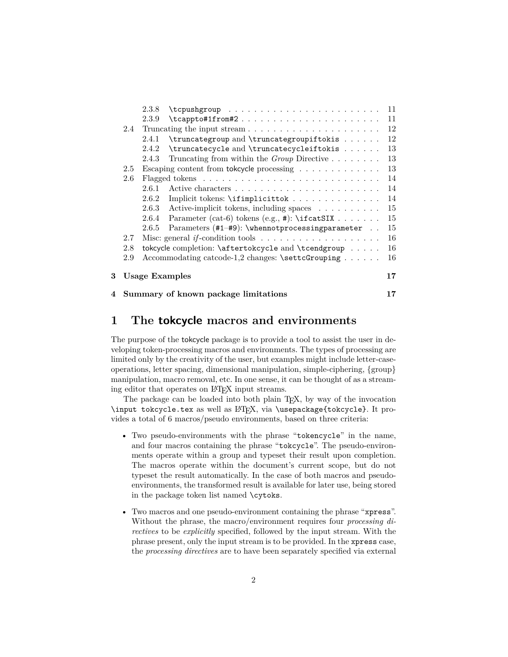|   |                                        | 2.3.8 | $\t\t\t tcpushgroup \t\t\t  \t\t\t  \t\t\t  \t\t\t$                          | 11 |  |
|---|----------------------------------------|-------|------------------------------------------------------------------------------|----|--|
|   |                                        | 2.3.9 | $\texttt{{\char'1}t}$                                                        | 11 |  |
|   | 2.4                                    |       |                                                                              | 12 |  |
|   |                                        | 2.4.1 | \truncategroup and \truncategroupiftokis                                     | 12 |  |
|   |                                        | 2.4.2 | \truncatecycle and \truncatecycleiftokis                                     | 13 |  |
|   |                                        | 2.4.3 | Truncating from within the <i>Group</i> Directive $\ldots \ldots \ldots$     | 13 |  |
|   | 2.5                                    |       | Escaping content from tokeycle processing                                    | 13 |  |
|   | 2.6                                    |       |                                                                              | 14 |  |
|   |                                        | 2.6.1 |                                                                              | 14 |  |
|   |                                        | 2.6.2 | Implicit tokens: \ifimplicittok                                              | 14 |  |
|   |                                        | 2.6.3 | Active-implicit tokens, including spaces                                     | 15 |  |
|   |                                        | 2.6.4 | Parameter (cat-6) tokens (e.g., $\#$ ): \if cat SIX                          | 15 |  |
|   |                                        | 2.6.5 | Parameters (#1-#9): \whennotprocessingparameter                              | 15 |  |
|   | 2.7                                    |       | Misc: general if-condition tools $\dots \dots \dots \dots \dots \dots \dots$ | 16 |  |
|   | 2.8                                    |       | tokcycle completion: \aftertokcycle and \tcendgroup                          | 16 |  |
|   | 2.9                                    |       | Accommodating catcode-1,2 changes: \settcGrouping                            | 16 |  |
| 3 | <b>Usage Examples</b>                  |       |                                                                              | 17 |  |
|   | 4 Summary of known package limitations |       |                                                                              |    |  |

# **1 The tokcycle macros and environments**

The purpose of the tokcycle package is to provide a tool to assist the user in developing token-processing macros and environments. The types of processing are limited only by the creativity of the user, but examples might include letter-caseoperations, letter spacing, dimensional manipulation, simple-ciphering, {group} manipulation, macro removal, etc. In one sense, it can be thought of as a streaming editor that operates on L<sup>AT</sup>EX input streams.

The package can be loaded into both plain T<sub>E</sub>X, by way of the invocation \input tokcycle.tex as well as LATEX, via \usepackage{tokcycle}. It provides a total of 6 macros/pseudo environments, based on three criteria:

- Two pseudo-environments with the phrase "tokencycle" in the name, and four macros containing the phrase "tokcycle". The pseudo-environments operate within a group and typeset their result upon completion. The macros operate within the document's current scope, but do not typeset the result automatically. In the case of both macros and pseudoenvironments, the transformed result is available for later use, being stored in the package token list named \cytoks.
- Two macros and one pseudo-environment containing the phrase "xpress". Without the phrase, the macro/environment requires four *processing directives* to be *explicitly* specified, followed by the input stream. With the phrase present, only the input stream is to be provided. In the xpress case, the *processing directives* are to have been separately specified via external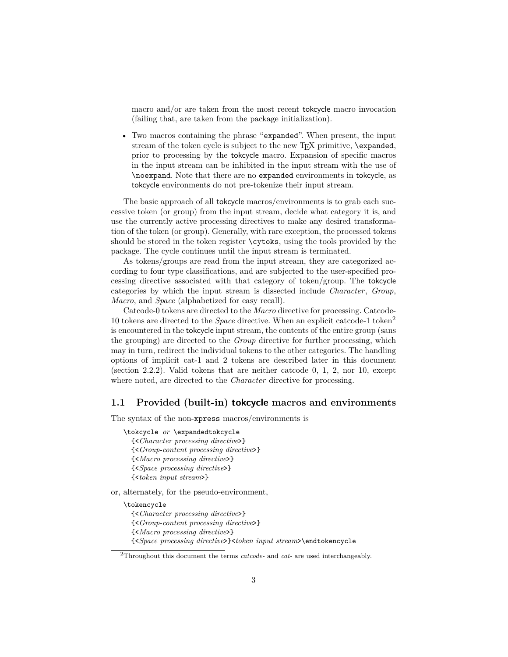macro and/or are taken from the most recent tokcycle macro invocation (failing that, are taken from the package initialization).

• Two macros containing the phrase "expanded". When present, the input stream of the token cycle is subject to the new T<sub>F</sub>X primitive, \expanded, prior to processing by the tokcycle macro. Expansion of specific macros in the input stream can be inhibited in the input stream with the use of \noexpand. Note that there are no expanded environments in tokcycle, as tokcycle environments do not pre-tokenize their input stream.

The basic approach of all tokcycle macros/environments is to grab each successive token (or group) from the input stream, decide what category it is, and use the currently active processing directives to make any desired transformation of the token (or group). Generally, with rare exception, the processed tokens should be stored in the token register \cytoks, using the tools provided by the package. The cycle continues until the input stream is terminated.

As tokens/groups are read from the input stream, they are categorized according to four type classifications, and are subjected to the user-specified processing directive associated with that category of token/group. The tokcycle categories by which the input stream is dissected include *Character*, *Group*, *Macro*, and *Space* (alphabetized for easy recall).

Catcode-0 tokens are directed to the *Macro* directive for processing. Catcode-10 tokens are directed to the *Space* directive. When an explicit catcode-1 token<sup>2</sup> is encountered in the tokcycle input stream, the contents of the entire group (sans the grouping) are directed to the *Group* directive for further processing, which may in turn, redirect the individual tokens to the other categories. The handling options of implicit cat-1 and 2 tokens are described later in this document (section 2.2.2). Valid tokens that are neither catcode 0, 1, 2, nor 10, except where noted, are directed to the *Character* directive for processing.

# **1.1 Provided (built-in) tokcycle macros and environments**

The syntax of the non-xpress macros/environments is

\tokcycle *or* \expandedtokcycle {<*Character processing directive*>} {<*Group-content processing directive*>} {<*Macro processing directive*>} {<*Space processing directive*>} {<*token input stream*>}

or, alternately, for the pseudo-environment,

\tokencycle

{<*Character processing directive*>}

{<*Group-content processing directive*>}

- {<*Macro processing directive*>}
- {<*Space processing directive*>}<*token input stream*>\endtokencycle

<sup>2</sup>Throughout this document the terms *catcode-* and *cat-* are used interchangeably.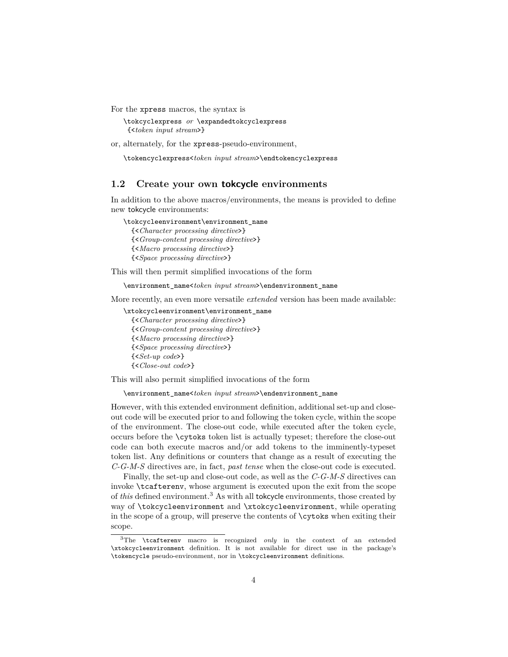For the xpress macros, the syntax is

\tokcyclexpress *or* \expandedtokcyclexpress {<*token input stream*>}

or, alternately, for the xpress-pseudo-environment,

\tokencyclexpress<*token input stream*>\endtokencyclexpress

# **1.2 Create your own tokcycle environments**

In addition to the above macros/environments, the means is provided to define new tokcycle environments:

\tokcycleenvironment\environment\_name {<*Character processing directive*>} {<*Group-content processing directive*>} {<*Macro processing directive*>} {<*Space processing directive*>}

This will then permit simplified invocations of the form

\environment\_name<*token input stream*>\endenvironment\_name

More recently, an even more versatile *extended* version has been made available:

\xtokcycleenvironment\environment\_name {<*Character processing directive*>} {<*Group-content processing directive*>} {<*Macro processing directive*>} {<*Space processing directive*>} {<*Set-up code*>} {<*Close-out code*>}

This will also permit simplified invocations of the form

\environment\_name<*token input stream*>\endenvironment\_name

However, with this extended environment definition, additional set-up and closeout code will be executed prior to and following the token cycle, within the scope of the environment. The close-out code, while executed after the token cycle, occurs before the \cytoks token list is actually typeset; therefore the close-out code can both execute macros and/or add tokens to the imminently-typeset token list. Any definitions or counters that change as a result of executing the *C-G-M-S* directives are, in fact, *past tense* when the close-out code is executed.

Finally, the set-up and close-out code, as well as the *C-G-M-S* directives can invoke \tcafterenv, whose argument is executed upon the exit from the scope of *this* defined environment.<sup>3</sup> As with all tokcycle environments, those created by way of \tokcycleenvironment and \xtokcycleenvironment, while operating in the scope of a group, will preserve the contents of \cytoks when exiting their scope.

<sup>&</sup>lt;sup>3</sup>The \tcafterenv macro is recognized *only* in the context of an extended \xtokcycleenvironment definition. It is not available for direct use in the package's \tokencycle pseudo-environment, nor in \tokcycleenvironment definitions.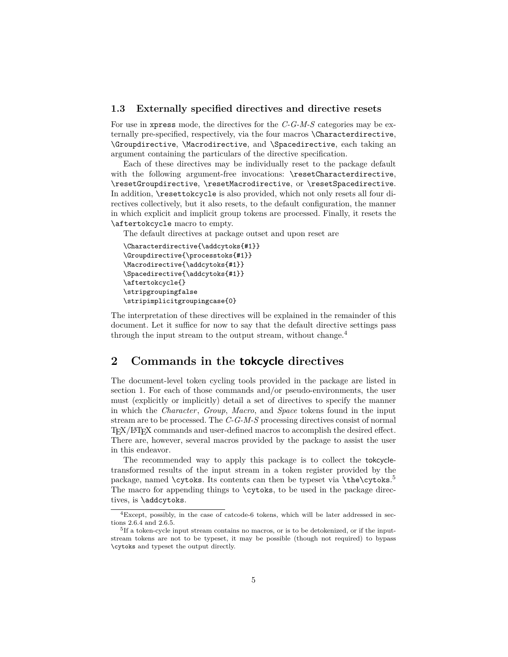# **1.3 Externally specified directives and directive resets**

For use in xpress mode, the directives for the *C-G-M-S* categories may be externally pre-specified, respectively, via the four macros \Characterdirective, \Groupdirective, \Macrodirective, and \Spacedirective, each taking an argument containing the particulars of the directive specification.

Each of these directives may be individually reset to the package default with the following argument-free invocations: \resetCharacterdirective, \resetGroupdirective, \resetMacrodirective, or \resetSpacedirective. In addition, \resettokcycle is also provided, which not only resets all four directives collectively, but it also resets, to the default configuration, the manner in which explicit and implicit group tokens are processed. Finally, it resets the \aftertokcycle macro to empty.

The default directives at package outset and upon reset are

```
\Characterdirective{\addcytoks{#1}}
\Groupdirective{\processtoks{#1}}
\Macrodirective{\addcytoks{#1}}
\Spacedirective{\addcytoks{#1}}
\aftertokcycle{}
\stripgroupingfalse
\stripimplicitgroupingcase{0}
```
The interpretation of these directives will be explained in the remainder of this document. Let it suffice for now to say that the default directive settings pass through the input stream to the output stream, without change.<sup>4</sup>

# **2 Commands in the tokcycle directives**

The document-level token cycling tools provided in the package are listed in section 1. For each of those commands and/or pseudo-environments, the user must (explicitly or implicitly) detail a set of directives to specify the manner in which the *Character*, *Group*, *Macro*, and *Space* tokens found in the input stream are to be processed. The *C-G-M-S* processing directives consist of normal TEX/LATEX commands and user-defined macros to accomplish the desired effect. There are, however, several macros provided by the package to assist the user in this endeavor.

The recommended way to apply this package is to collect the tokcycletransformed results of the input stream in a token register provided by the package, named **\cytoks**. Its contents can then be typeset via **\the\cytoks**.<sup>5</sup> The macro for appending things to \cytoks, to be used in the package directives, is \addcytoks.

<sup>4</sup>Except, possibly, in the case of catcode-6 tokens, which will be later addressed in sections 2.6.4 and 2.6.5.

<sup>&</sup>lt;sup>5</sup>If a token-cycle input stream contains no macros, or is to be detokenized, or if the inputstream tokens are not to be typeset, it may be possible (though not required) to bypass \cytoks and typeset the output directly.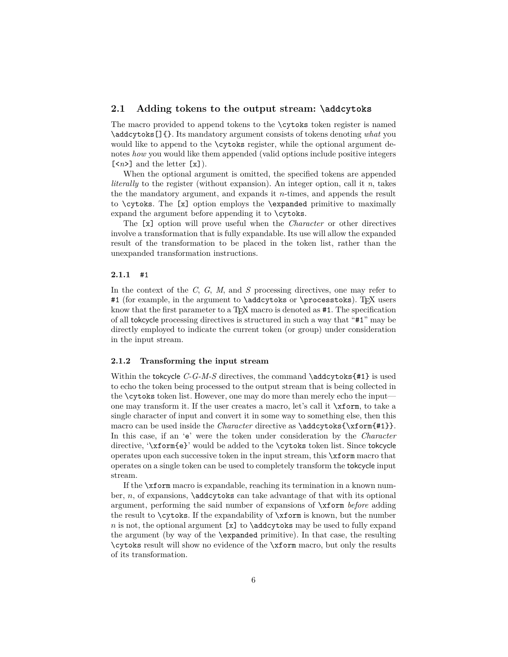# **2.1 Adding tokens to the output stream: \addcytoks**

The macro provided to append tokens to the \cytoks token register is named \addcytoks[]{}. Its mandatory argument consists of tokens denoting *what* you would like to append to the **\cytoks** register, while the optional argument denotes *how* you would like them appended (valid options include positive integers  $\lfloor \langle n \rangle \rfloor$  and the letter  $\lfloor x \rfloor$ ).

When the optional argument is omitted, the specified tokens are appended *literally* to the register (without expansion). An integer option, call it *n*, takes the the mandatory argument, and expands it *n*-times, and appends the result to \cytoks. The [x] option employs the \expanded primitive to maximally expand the argument before appending it to \cytoks.

The [x] option will prove useful when the *Character* or other directives involve a transformation that is fully expandable. Its use will allow the expanded result of the transformation to be placed in the token list, rather than the unexpanded transformation instructions.

## **2.1.1** #1

In the context of the *C*, *G*, *M*, and *S* processing directives, one may refer to #1 (for example, in the argument to **\addcytoks** or **\processtoks**). TrX users know that the first parameter to a T<sub>EX</sub> macro is denoted as #1. The specification of all tokcycle processing directives is structured in such a way that "#1" may be directly employed to indicate the current token (or group) under consideration in the input stream.

## **2.1.2 Transforming the input stream**

Within the tokcycle  $C-G-M-S$  directives, the command  $\ad{\c{pt}$ sks $\{$ #1} is used to echo the token being processed to the output stream that is being collected in the \cytoks token list. However, one may do more than merely echo the input one may transform it. If the user creates a macro, let's call it \xform, to take a single character of input and convert it in some way to something else, then this macro can be used inside the *Character* directive as  $\addcytoks{\xform{#1}}$ . In this case, if an 'e' were the token under consideration by the *Character* directive, '\xform{e}' would be added to the \cytoks token list. Since tokcycle operates upon each successive token in the input stream, this \xform macro that operates on a single token can be used to completely transform the tokcycle input stream.

If the \xform macro is expandable, reaching its termination in a known number, *n*, of expansions, \addcytoks can take advantage of that with its optional argument, performing the said number of expansions of \xform *before* adding the result to \cytoks. If the expandability of \xform is known, but the number *n* is not, the optional argument  $[x]$  to \addcytoks may be used to fully expand the argument (by way of the \expanded primitive). In that case, the resulting \cytoks result will show no evidence of the \xform macro, but only the results of its transformation.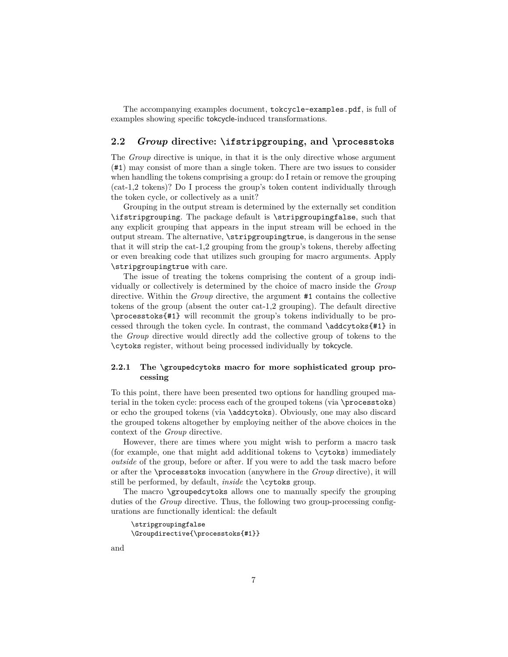The accompanying examples document, tokcycle-examples.pdf, is full of examples showing specific tokcycle-induced transformations.

# **2.2** *Group* **directive: \ifstripgrouping, and \processtoks**

The *Group* directive is unique, in that it is the only directive whose argument (#1) may consist of more than a single token. There are two issues to consider when handling the tokens comprising a group: do I retain or remove the grouping (cat-1,2 tokens)? Do I process the group's token content individually through the token cycle, or collectively as a unit?

Grouping in the output stream is determined by the externally set condition \ifstripgrouping. The package default is \stripgroupingfalse, such that any explicit grouping that appears in the input stream will be echoed in the output stream. The alternative, \stripgroupingtrue, is dangerous in the sense that it will strip the cat-1,2 grouping from the group's tokens, thereby affecting or even breaking code that utilizes such grouping for macro arguments. Apply \stripgroupingtrue with care.

The issue of treating the tokens comprising the content of a group individually or collectively is determined by the choice of macro inside the *Group* directive. Within the *Group* directive, the argument #1 contains the collective tokens of the group (absent the outer cat-1,2 grouping). The default directive \processtoks{#1} will recommit the group's tokens individually to be processed through the token cycle. In contrast, the command  $\ad{\text{cty}$  in the *Group* directive would directly add the collective group of tokens to the \cytoks register, without being processed individually by tokcycle.

# **2.2.1 The \groupedcytoks macro for more sophisticated group processing**

To this point, there have been presented two options for handling grouped material in the token cycle: process each of the grouped tokens (via \processtoks) or echo the grouped tokens (via \addcytoks). Obviously, one may also discard the grouped tokens altogether by employing neither of the above choices in the context of the *Group* directive.

However, there are times where you might wish to perform a macro task (for example, one that might add additional tokens to \cytoks) immediately *outside* of the group, before or after. If you were to add the task macro before or after the \processtoks invocation (anywhere in the *Group* directive), it will still be performed, by default, *inside* the \cytoks group.

The macro \groupedcytoks allows one to manually specify the grouping duties of the *Group* directive. Thus, the following two group-processing configurations are functionally identical: the default

```
\stripgroupingfalse
\Groupdirective{\processtoks{#1}}
```
and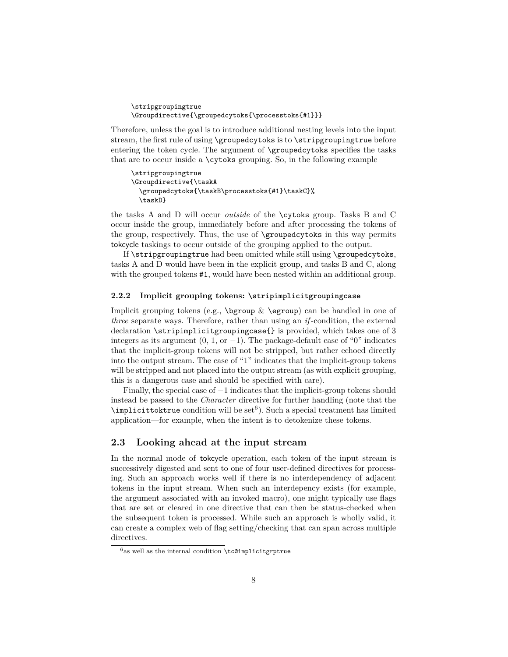```
\stripgroupingtrue
\Groupdirective{\groupedcytoks{\processtoks{#1}}}
```
Therefore, unless the goal is to introduce additional nesting levels into the input stream, the first rule of using \groupedcytoks is to \stripgroupingtrue before entering the token cycle. The argument of \groupedcytoks specifies the tasks that are to occur inside a \cytoks grouping. So, in the following example

```
\stripgroupingtrue
\Groupdirective{\taskA
  \groupedcytoks{\taskB\processtoks{#1}\taskC}%
  \taskD}
```
the tasks A and D will occur *outside* of the \cytoks group. Tasks B and C occur inside the group, immediately before and after processing the tokens of the group, respectively. Thus, the use of \groupedcytoks in this way permits tokcycle taskings to occur outside of the grouping applied to the output.

If \stripgroupingtrue had been omitted while still using \groupedcytoks, tasks A and D would have been in the explicit group, and tasks B and C, along with the grouped tokens  $#1$ , would have been nested within an additional group.

# **2.2.2 Implicit grouping tokens: \stripimplicitgroupingcase**

Implicit grouping tokens (e.g.,  $\begin{bmatrix} \log r \end{bmatrix}$  (egroup) can be handled in one of *three* separate ways. Therefore, rather than using an *if* -condition, the external declaration \stripimplicitgroupingcase{} is provided, which takes one of 3 integers as its argument  $(0, 1, \text{or } -1)$ . The package-default case of "0" indicates that the implicit-group tokens will not be stripped, but rather echoed directly into the output stream. The case of "1" indicates that the implicit-group tokens will be stripped and not placed into the output stream (as with explicit grouping, this is a dangerous case and should be specified with care).

Finally, the special case of  $-1$  indicates that the implicit-group tokens should instead be passed to the *Character* directive for further handling (note that the  $\infty$ implicittoktrue condition will be set<sup>6</sup>). Such a special treatment has limited application—for example, when the intent is to detokenize these tokens.

# **2.3 Looking ahead at the input stream**

In the normal mode of tokcycle operation, each token of the input stream is successively digested and sent to one of four user-defined directives for processing. Such an approach works well if there is no interdependency of adjacent tokens in the input stream. When such an interdepency exists (for example, the argument associated with an invoked macro), one might typically use flags that are set or cleared in one directive that can then be status-checked when the subsequent token is processed. While such an approach is wholly valid, it can create a complex web of flag setting/checking that can span across multiple directives.

 $6a$ s well as the internal condition \tc@implicitgrptrue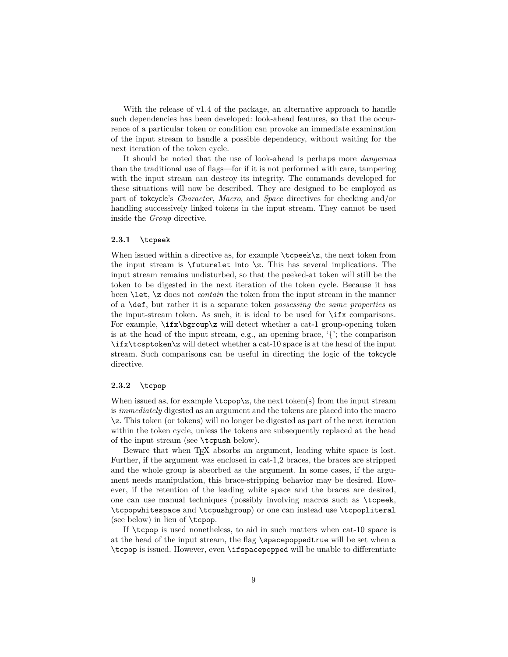With the release of v1.4 of the package, an alternative approach to handle such dependencies has been developed: look-ahead features, so that the occurrence of a particular token or condition can provoke an immediate examination of the input stream to handle a possible dependency, without waiting for the next iteration of the token cycle.

It should be noted that the use of look-ahead is perhaps more *dangerous* than the traditional use of flags—for if it is not performed with care, tampering with the input stream can destroy its integrity. The commands developed for these situations will now be described. They are designed to be employed as part of tokcycle's *Character*, *Macro*, and *Space* directives for checking and/or handling successively linked tokens in the input stream. They cannot be used inside the *Group* directive.

### **2.3.1 \tcpeek**

When issued within a directive as, for example  $\text{tepek}\z$ , the next token from the input stream is  $\$ futurelet into  $\zeta$ . This has several implications. The input stream remains undisturbed, so that the peeked-at token will still be the token to be digested in the next iteration of the token cycle. Because it has been \let, \z does not *contain* the token from the input stream in the manner of a \def, but rather it is a separate token *possessing the same properties* as the input-stream token. As such, it is ideal to be used for \ifx comparisons. For example, \ifx\bgroup\z will detect whether a cat-1 group-opening token is at the head of the input stream, e.g., an opening brace,  $\{$ , it he comparison \ifx\tcsptoken\z will detect whether a cat-10 space is at the head of the input stream. Such comparisons can be useful in directing the logic of the tokcycle directive.

### **2.3.2 \tcpop**

When issued as, for example  $\text{top}(z)$ , the next token(s) from the input stream is *immediately* digested as an argument and the tokens are placed into the macro \z. This token (or tokens) will no longer be digested as part of the next iteration within the token cycle, unless the tokens are subsequently replaced at the head of the input stream (see \tcpush below).

Beware that when T<sub>E</sub>X absorbs an argument, leading white space is lost. Further, if the argument was enclosed in cat-1,2 braces, the braces are stripped and the whole group is absorbed as the argument. In some cases, if the argument needs manipulation, this brace-stripping behavior may be desired. However, if the retention of the leading white space and the braces are desired, one can use manual techniques (possibly involving macros such as \tcpeek, \tcpopwhitespace and \tcpushgroup) or one can instead use \tcpopliteral (see below) in lieu of \tcpop.

If \tcpop is used nonetheless, to aid in such matters when cat-10 space is at the head of the input stream, the flag \spacepoppedtrue will be set when a \tcpop is issued. However, even \ifspacepopped will be unable to differentiate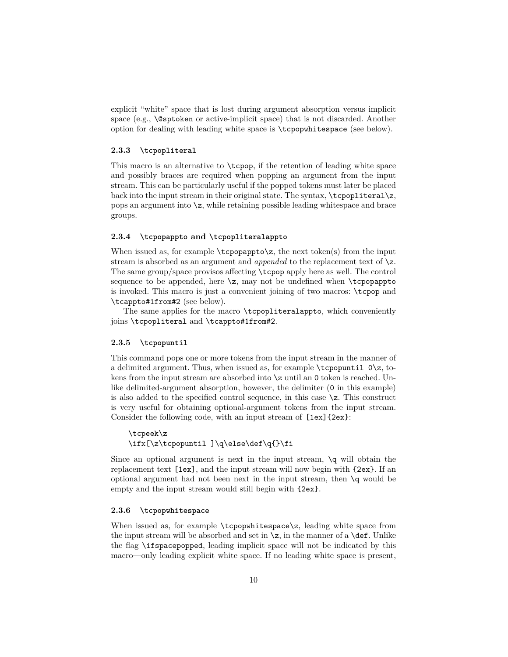explicit "white" space that is lost during argument absorption versus implicit space (e.g., \@sptoken or active-implicit space) that is not discarded. Another option for dealing with leading white space is \tcpopwhitespace (see below).

## **2.3.3 \tcpopliteral**

This macro is an alternative to \tcpop, if the retention of leading white space and possibly braces are required when popping an argument from the input stream. This can be particularly useful if the popped tokens must later be placed back into the input stream in their original state. The syntax,  $\text{topopliteral}\zeta$ , pops an argument into  $\zeta$ , while retaining possible leading whitespace and brace groups.

## **2.3.4 \tcpopappto and \tcpopliteralappto**

When issued as, for example  $\t{topopappto\z$ , the next token(s) from the input stream is absorbed as an argument and *appended* to the replacement text of \z. The same group/space provisos affecting \tcpop apply here as well. The control sequence to be appended, here  $\zeta$ , may not be undefined when  $\zeta$ is invoked. This macro is just a convenient joining of two macros: \tcpop and \tcappto#1from#2 (see below).

The same applies for the macro \tcpopliteralappto, which conveniently joins \tcpopliteral and \tcappto#1from#2.

## **2.3.5 \tcpopuntil**

This command pops one or more tokens from the input stream in the manner of a delimited argument. Thus, when issued as, for example  $\text{toppartial } 0\zeta$ , tokens from the input stream are absorbed into  $\zeta$  until an 0 token is reached. Unlike delimited-argument absorption, however, the delimiter (0 in this example) is also added to the specified control sequence, in this case \z. This construct is very useful for obtaining optional-argument tokens from the input stream. Consider the following code, with an input stream of [1ex]{2ex}:

```
\tcpeek\z
\ifx[\z\tcpopuntil ]\q\else\def\q{}\fi
```
Since an optional argument is next in the input stream,  $\qquad$  will obtain the replacement text [1ex], and the input stream will now begin with {2ex}. If an optional argument had not been next in the input stream, then \q would be empty and the input stream would still begin with {2ex}.

## **2.3.6 \tcpopwhitespace**

When issued as, for example  $\text{topw}$  its space  $\mathsf{z}$ , leading white space from the input stream will be absorbed and set in  $\zeta$ , in the manner of a  $\det$ . Unlike the flag \ifspacepopped, leading implicit space will not be indicated by this macro—only leading explicit white space. If no leading white space is present,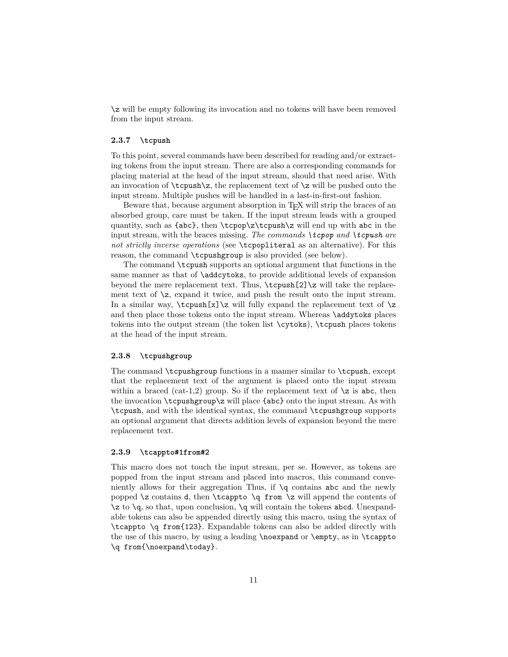\z will be empty following its invocation and no tokens will have been removed from the input stream.

## **2.3.7 \tcpush**

To this point, several commands have been described for reading and/or extracting tokens from the input stream. There are also a corresponding commands for placing material at the head of the input stream, should that need arise. With an invocation of  $\text{log}$ , the replacement text of  $\zeta$  will be pushed onto the input stream. Multiple pushes will be handled in a last-in-first-out fashion.

Beware that, because argument absorption in TFX will strip the braces of an absorbed group, care must be taken. If the input stream leads with a grouped quantity, such as  $\{abc\}$ , then  $\t{topop}\zeta\t{cpush}\z$  will end up with abc in the input stream, with the braces missing. *The commands \tcpop and \tcpush are not strictly inverse operations* (see \tcpopliteral as an alternative). For this reason, the command \tcpushgroup is also provided (see below).

The command \tcpush supports an optional argument that functions in the same manner as that of \addcytoks, to provide additional levels of expansion beyond the mere replacement text. Thus, \tcpush[2]\z will take the replacement text of  $\zeta$ , expand it twice, and push the result onto the input stream. In a similar way,  $\text{z}\z$  will fully expand the replacement text of  $\zeta$ and then place those tokens onto the input stream. Whereas \addytoks places tokens into the output stream (the token list \cytoks), \tcpush places tokens at the head of the input stream.

## **2.3.8 \tcpushgroup**

The command \tcpushgroup functions in a manner similar to \tcpush, except that the replacement text of the argument is placed onto the input stream within a braced (cat-1,2) group. So if the replacement text of  $\zeta$  is abc, then the invocation \tcpushgroup\z will place {abc} onto the input stream. As with \tcpush, and with the identical syntax, the command \tcpushgroup supports an optional argument that directs addition levels of expansion beyond the mere replacement text.

### **2.3.9 \tcappto#1from#2**

This macro does not touch the input stream, per se. However, as tokens are popped from the input stream and placed into macros, this command conveniently allows for their aggregation Thus, if \q contains abc and the newly popped  $\zeta$  contains d, then  $\tag{z will append the contents of$  $\zeta$  to  $\zeta$ , so that, upon conclusion,  $\zeta$  will contain the tokens abcd. Unexpandable tokens can also be appended directly using this macro, using the syntax of \tcappto \q from{123}. Expandable tokens can also be added directly with the use of this macro, by using a leading \noexpand or \empty, as in \tcappto \q from{\noexpand\today}.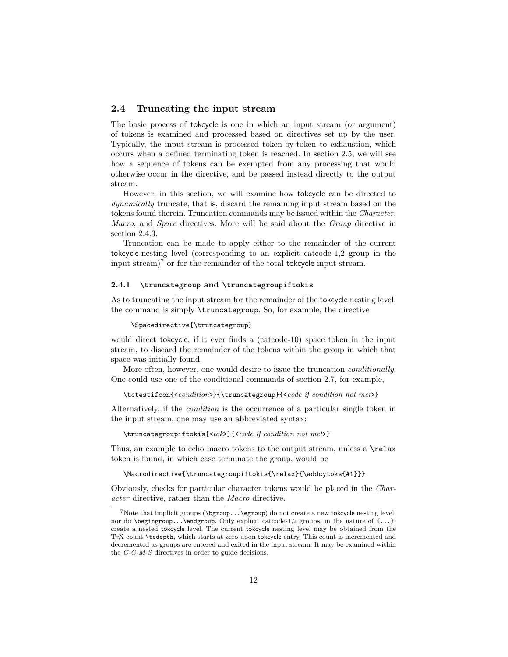# **2.4 Truncating the input stream**

The basic process of tokcycle is one in which an input stream (or argument) of tokens is examined and processed based on directives set up by the user. Typically, the input stream is processed token-by-token to exhaustion, which occurs when a defined terminating token is reached. In section 2.5, we will see how a sequence of tokens can be exempted from any processing that would otherwise occur in the directive, and be passed instead directly to the output stream.

However, in this section, we will examine how tokcycle can be directed to *dynamically* truncate, that is, discard the remaining input stream based on the tokens found therein. Truncation commands may be issued within the *Character*, *Macro*, and *Space* directives. More will be said about the *Group* directive in section 2.4.3.

Truncation can be made to apply either to the remainder of the current tokcycle-nesting level (corresponding to an explicit catcode-1,2 group in the input stream)<sup>7</sup> or for the remainder of the total tokcycle input stream.

# **2.4.1 \truncategroup and \truncategroupiftokis**

As to truncating the input stream for the remainder of the tokcycle nesting level, the command is simply \truncategroup. So, for example, the directive

#### \Spacedirective{\truncategroup}

would direct tokcycle, if it ever finds a (catcode-10) space token in the input stream, to discard the remainder of the tokens within the group in which that space was initially found.

More often, however, one would desire to issue the truncation *conditionally*. One could use one of the conditional commands of section 2.7, for example,

\tctestifcon{<*condition*>}{\truncategroup}{<*code if condition not met*>}

Alternatively, if the *condition* is the occurrence of a particular single token in the input stream, one may use an abbreviated syntax:

\truncategroupiftokis{<*tok*>}{<*code if condition not met*>}

Thus, an example to echo macro tokens to the output stream, unless a \relax token is found, in which case terminate the group, would be

### \Macrodirective{\truncategroupiftokis{\relax}{\addcytoks{#1}}}

Obviously, checks for particular character tokens would be placed in the *Character* directive, rather than the *Macro* directive.

 $7$ Note that implicit groups ( $\begin{array}{c} \begin{array}{c} \text{degree} \end{array}$  do not create a new tokcycle nesting level, nor do \begingroup...\endgroup. Only explicit catcode-1,2 groups, in the nature of  $\{\ldots\}$ , create a nested tokcycle level. The current tokcycle nesting level may be obtained from the TEX count \tcdepth, which starts at zero upon tokcycle entry. This count is incremented and decremented as groups are entered and exited in the input stream. It may be examined within the *C-G-M-S* directives in order to guide decisions.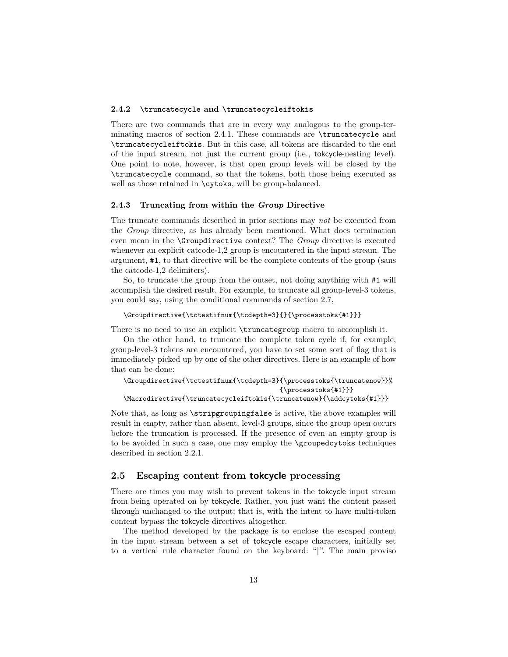## **2.4.2 \truncatecycle and \truncatecycleiftokis**

There are two commands that are in every way analogous to the group-terminating macros of section 2.4.1. These commands are \truncatecycle and \truncatecycleiftokis. But in this case, all tokens are discarded to the end of the input stream, not just the current group (i.e., tokcycle-nesting level). One point to note, however, is that open group levels will be closed by the \truncatecycle command, so that the tokens, both those being executed as well as those retained in \cytoks, will be group-balanced.

### **2.4.3 Truncating from within the** *Group* **Directive**

The truncate commands described in prior sections may *not* be executed from the *Group* directive, as has already been mentioned. What does termination even mean in the \Groupdirective context? The *Group* directive is executed whenever an explicit catcode-1,2 group is encountered in the input stream. The argument, #1, to that directive will be the complete contents of the group (sans the catcode-1,2 delimiters).

So, to truncate the group from the outset, not doing anything with #1 will accomplish the desired result. For example, to truncate all group-level-3 tokens, you could say, using the conditional commands of section 2.7,

#### \Groupdirective{\tctestifnum{\tcdepth=3}{}{\processtoks{#1}}}

There is no need to use an explicit  $\tau \rightarrow \infty$  macro to accomplish it.

On the other hand, to truncate the complete token cycle if, for example, group-level-3 tokens are encountered, you have to set some sort of flag that is immediately picked up by one of the other directives. Here is an example of how that can be done:

```
\Groupdirective{\tctestifnum{\tcdepth=3}{\processtoks{\truncatenow}}%
                                        {\processtoks{#1}}}
\Macrodirective{\truncatecycleiftokis{\truncatenow}{\addcytoks{#1}}}
```
Note that, as long as \stripgroupingfalse is active, the above examples will result in empty, rather than absent, level-3 groups, since the group open occurs before the truncation is processed. If the presence of even an empty group is to be avoided in such a case, one may employ the \groupedcytoks techniques described in section 2.2.1.

# **2.5 Escaping content from tokcycle processing**

There are times you may wish to prevent tokens in the tokcycle input stream from being operated on by tokcycle. Rather, you just want the content passed through unchanged to the output; that is, with the intent to have multi-token content bypass the tokcycle directives altogether.

The method developed by the package is to enclose the escaped content in the input stream between a set of tokcycle escape characters, initially set to a vertical rule character found on the keyboard: "|". The main proviso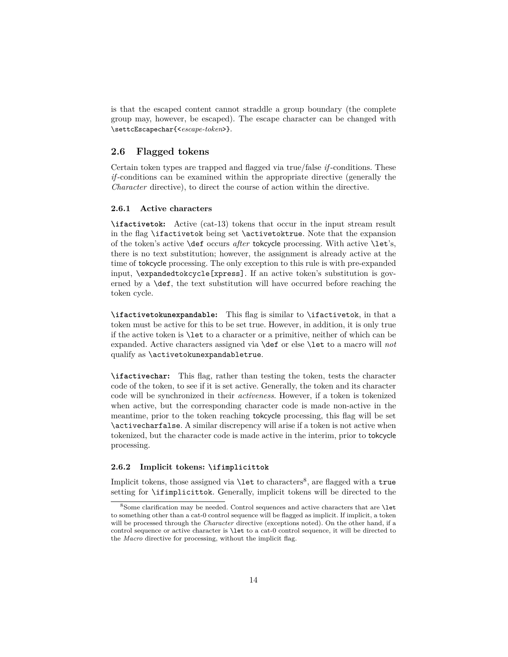is that the escaped content cannot straddle a group boundary (the complete group may, however, be escaped). The escape character can be changed with \settcEscapechar{<*escape-token*>}.

## **2.6 Flagged tokens**

Certain token types are trapped and flagged via true/false *if* -conditions. These *if* -conditions can be examined within the appropriate directive (generally the *Character* directive), to direct the course of action within the directive.

# **2.6.1 Active characters**

**\ifactivetok:** Active (cat-13) tokens that occur in the input stream result in the flag \ifactivetok being set \activetoktrue. Note that the expansion of the token's active \def occurs *after* tokcycle processing. With active \let's, there is no text substitution; however, the assignment is already active at the time of tokcycle processing. The only exception to this rule is with pre-expanded input, \expandedtokcycle[xpress]. If an active token's substitution is governed by a \def, the text substitution will have occurred before reaching the token cycle.

**\ifactivetokunexpandable:** This flag is similar to \ifactivetok, in that a token must be active for this to be set true. However, in addition, it is only true if the active token is \let to a character or a primitive, neither of which can be expanded. Active characters assigned via \def or else \let to a macro will *not* qualify as \activetokunexpandabletrue.

**\ifactivechar:** This flag, rather than testing the token, tests the character code of the token, to see if it is set active. Generally, the token and its character code will be synchronized in their *activeness*. However, if a token is tokenized when active, but the corresponding character code is made non-active in the meantime, prior to the token reaching tokcycle processing, this flag will be set \activecharfalse. A similar discrepency will arise if a token is not active when tokenized, but the character code is made active in the interim, prior to tokcycle processing.

## **2.6.2 Implicit tokens: \ifimplicittok**

Implicit tokens, those assigned via **\let** to characters<sup>8</sup>, are flagged with a true setting for \ifimplicittok. Generally, implicit tokens will be directed to the

<sup>8</sup>Some clarification may be needed. Control sequences and active characters that are \let to something other than a cat-0 control sequence will be flagged as implicit. If implicit, a token will be processed through the *Character* directive (exceptions noted). On the other hand, if a control sequence or active character is \let to a cat-0 control sequence, it will be directed to the *Macro* directive for processing, without the implicit flag.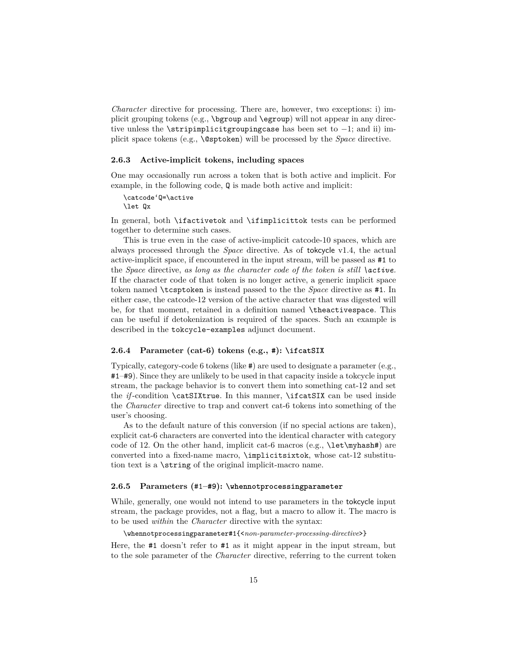*Character* directive for processing. There are, however, two exceptions: i) implicit grouping tokens (e.g., \bgroup and \egroup) will not appear in any directive unless the \stripimplicitgroupingcase has been set to  $-1$ ; and ii) implicit space tokens (e.g., \@sptoken) will be processed by the *Space* directive.

## **2.6.3 Active-implicit tokens, including spaces**

One may occasionally run across a token that is both active and implicit. For example, in the following code, Q is made both active and implicit:

\catcode'Q=\active \let Qx

In general, both \ifactivetok and \ifimplicittok tests can be performed together to determine such cases.

This is true even in the case of active-implicit catcode-10 spaces, which are always processed through the *Space* directive. As of tokcycle v1.4, the actual active-implicit space, if encountered in the input stream, will be passed as #1 to the *Space* directive, *as long as the character code of the token is still \active.* If the character code of that token is no longer active, a generic implicit space token named \tcsptoken is instead passed to the the *Space* directive as #1. In either case, the catcode-12 version of the active character that was digested will be, for that moment, retained in a definition named \theactivespace. This can be useful if detokenization is required of the spaces. Such an example is described in the tokcycle-examples adjunct document.

# **2.6.4 Parameter (cat-6) tokens (e.g., #): \ifcatSIX**

Typically, category-code 6 tokens (like #) are used to designate a parameter (e.g., #1–#9). Since they are unlikely to be used in that capacity inside a tokcycle input stream, the package behavior is to convert them into something cat-12 and set the *if*-condition \catSIXtrue. In this manner, \ifcatSIX can be used inside the *Character* directive to trap and convert cat-6 tokens into something of the user's choosing.

As to the default nature of this conversion (if no special actions are taken), explicit cat-6 characters are converted into the identical character with category code of 12. On the other hand, implicit cat-6 macros (e.g.,  $\let\myhash#$ ) are converted into a fixed-name macro, \implicitsixtok, whose cat-12 substitution text is a \string of the original implicit-macro name.

## **2.6.5 Parameters (**#1**–#9): \whennotprocessingparameter**

While, generally, one would not intend to use parameters in the tokcycle input stream, the package provides, not a flag, but a macro to allow it. The macro is to be used *within* the *Character* directive with the syntax:

\whennotprocessingparameter#1{<*non-parameter-processing-directive*>}

Here, the #1 doesn't refer to #1 as it might appear in the input stream, but to the sole parameter of the *Character* directive, referring to the current token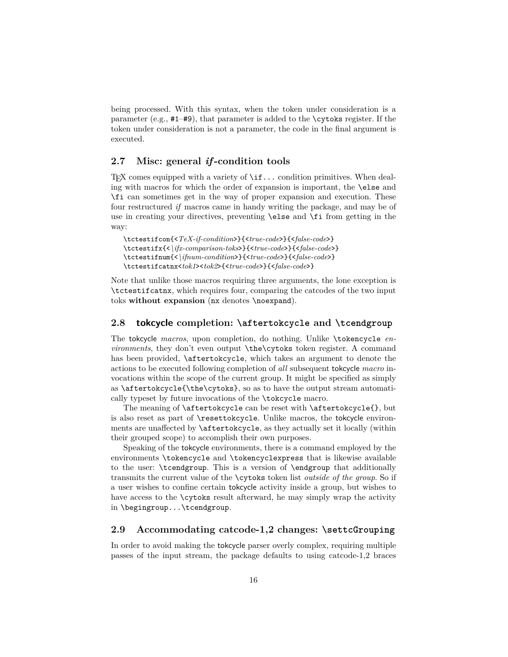being processed. With this syntax, when the token under consideration is a parameter (e.g., #1–#9), that parameter is added to the \cytoks register. If the token under consideration is not a parameter, the code in the final argument is executed.

# **2.7 Misc: general** *if* **-condition tools**

T<sub>EX</sub> comes equipped with a variety of  $\iota$ **if...** condition primitives. When dealing with macros for which the order of expansion is important, the \else and \fi can sometimes get in the way of proper expansion and execution. These four restructured *if* macros came in handy writing the package, and may be of use in creating your directives, preventing \else and \fi from getting in the way:

\tctestifcon{<*TeX-if-condition*>}{<*true-code*>}{<*false-code*>} \tctestifx{<*\ifx-comparison-toks*>}{<*true-code*>}{<*false-code*>} \tctestifnum{<*\ifnum-condition*>}{<*true-code*>}{<*false-code*>} \tctestifcatnx<*tok1*><*tok2*>{<*true-code*>}{<*false-code*>}

Note that unlike those macros requiring three arguments, the lone exception is \tctestifcatnx, which requires four, comparing the catcodes of the two input toks **without expansion** (nx denotes \noexpand).

# **2.8 tokcycle completion: \aftertokcycle and \tcendgroup**

The tokcycle *macros*, upon completion, do nothing. Unlike \tokencycle *environments*, they don't even output **\the\cytoks** token register. A command has been provided, \aftertokcycle, which takes an argument to denote the actions to be executed following completion of *all* subsequent tokcycle *macro* invocations within the scope of the current group. It might be specified as simply as \aftertokcycle{\the\cytoks}, so as to have the output stream automatically typeset by future invocations of the \tokcycle macro.

The meaning of \aftertokcycle can be reset with \aftertokcycle{}, but is also reset as part of \resettokcycle. Unlike macros, the tokcycle environments are unaffected by \aftertokcycle, as they actually set it locally (within their grouped scope) to accomplish their own purposes.

Speaking of the tokcycle environments, there is a command employed by the environments \tokencycle and \tokencyclexpress that is likewise available to the user: \tcendgroup. This is a version of \endgroup that additionally transmits the current value of the \cytoks token list *outside of the group*. So if a user wishes to confine certain tokcycle activity inside a group, but wishes to have access to the **\cytoks** result afterward, he may simply wrap the activity in \begingroup...\tcendgroup.

# **2.9 Accommodating catcode-1,2 changes: \settcGrouping**

In order to avoid making the tokcycle parser overly complex, requiring multiple passes of the input stream, the package defaults to using catcode-1,2 braces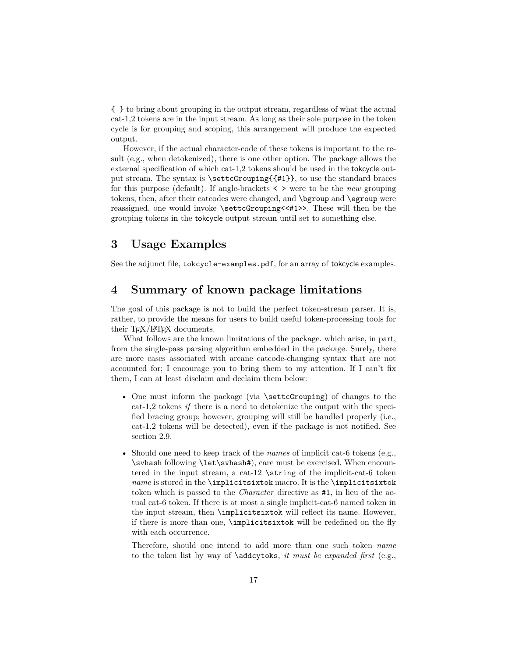{ } to bring about grouping in the output stream, regardless of what the actual cat-1,2 tokens are in the input stream. As long as their sole purpose in the token cycle is for grouping and scoping, this arrangement will produce the expected output.

However, if the actual character-code of these tokens is important to the result (e.g., when detokenized), there is one other option. The package allows the external specification of which cat-1,2 tokens should be used in the tokcycle output stream. The syntax is \settcGrouping{{#1}}, to use the standard braces for this purpose (default). If angle-brackets < > were to be the *new* grouping tokens, then, after their catcodes were changed, and \bgroup and \egroup were reassigned, one would invoke \settcGrouping<<#1>>. These will then be the grouping tokens in the tokcycle output stream until set to something else.

# **3 Usage Examples**

See the adjunct file, tokcycle-examples.pdf, for an array of tokcycle examples.

# **4 Summary of known package limitations**

The goal of this package is not to build the perfect token-stream parser. It is, rather, to provide the means for users to build useful token-processing tools for their  $T_{F}X/ET_{F}X$  documents.

What follows are the known limitations of the package. which arise, in part, from the single-pass parsing algorithm embedded in the package. Surely, there are more cases associated with arcane catcode-changing syntax that are not accounted for; I encourage you to bring them to my attention. If I can't fix them, I can at least disclaim and declaim them below:

- One must inform the package (via \settcGrouping) of changes to the cat-1,2 tokens *if* there is a need to detokenize the output with the specified bracing group; however, grouping will still be handled properly (i.e., cat-1,2 tokens will be detected), even if the package is not notified. See section 2.9.
- Should one need to keep track of the *names* of implicit cat-6 tokens (e.g., \svhash following \let\svhash#), care must be exercised. When encountered in the input stream, a cat-12  $\string$  of the implicit-cat-6 token *name* is stored in the \implicitsixtok macro. It is the \implicitsixtok token which is passed to the *Character* directive as #1, in lieu of the actual cat-6 token. If there is at most a single implicit-cat-6 named token in the input stream, then \implicitsixtok will reflect its name. However, if there is more than one, \implicitsixtok will be redefined on the fly with each occurrence.

Therefore, should one intend to add more than one such token *name* to the token list by way of \addcytoks, *it must be expanded first* (e.g.,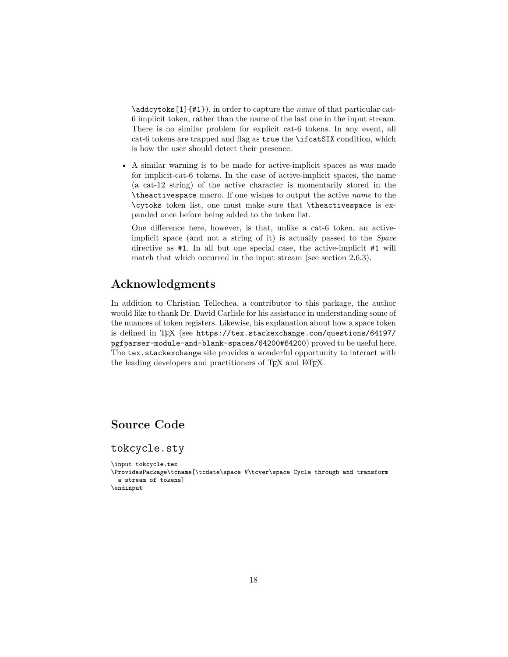\addcytoks[1]{#1}), in order to capture the *name* of that particular cat-6 implicit token, rather than the name of the last one in the input stream. There is no similar problem for explicit cat-6 tokens. In any event, all cat-6 tokens are trapped and flag as true the \ifcatSIX condition, which is how the user should detect their presence.

• A similar warning is to be made for active-implicit spaces as was made for implicit-cat-6 tokens. In the case of active-implicit spaces, the name (a cat-12 string) of the active character is momentarily stored in the \theactivespace macro. If one wishes to output the active *name* to the \cytoks token list, one must make sure that \theactivespace is expanded once before being added to the token list.

One difference here, however, is that, unlike a cat-6 token, an activeimplicit space (and not a string of it) is actually passed to the *Space* directive as #1. In all but one special case, the active-implicit #1 will match that which occurred in the input stream (see section 2.6.3).

# **Acknowledgments**

In addition to Christian Tellechea, a contributor to this package, the author would like to thank Dr. David Carlisle for his assistance in understanding some of the nuances of token registers. Likewise, his explanation about how a space token is defined in T<sub>E</sub>X (see https://tex.stackexchange.com/questions/64197/ pgfparser-module-and-blank-spaces/64200#64200) proved to be useful here. The tex.stackexchange site provides a wonderful opportunity to interact with the leading developers and practitioners of T<sub>E</sub>X and L<sup>AT</sup>EX.

# **Source Code**

tokcycle.sty

\input tokcycle.tex

\ProvidesPackage\tcname[\tcdate\space V\tcver\space Cycle through and transform a stream of tokens] \endinput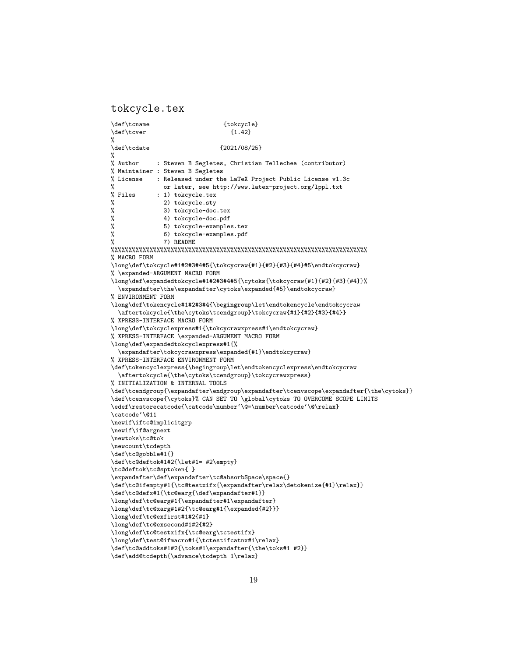tokcycle.tex

\def\tcname {tokcycle}  $\def\t\t(1.42)$ % \def\tcdate {2021/08/25} %<br>% Author : Steven B Segletes, Christian Tellechea (contributor) % Maintainer : Steven B Segletes % License : Released under the LaTeX Project Public License v1.3c % or later, see http://www.latex-project.org/lppl.txt % Files : 1) tokcycle.tex % 2) tokcycle.sty % 3) tokcycle-doc.tex<br>% 4) tokcycle-doc.pdf % 4) tokcycle-doc.pdf<br>% 5) tokcycle-example 5) tokcycle-examples.tex % 6) tokcycle-examples.pdf % 7) README %%%%%%%%%%%%%%%%%%%%%%%%%%%%%%%%%%%%%%%%%%%%%%%%%%%%%%%%%%%%%%%%%%%%%%%%% % MACRO FORM \long\def\tokcycle#1#2#3#4#5{\tokcycraw{#1}{#2}{#3}{#4}#5\endtokcycraw} % \expanded-ARGUMENT MACRO FORM \long\def\expandedtokcycle#1#2#3#4#5{\cytoks{\tokcycraw{#1}{#2}{#3}{#4}}% \expandafter\the\expandafter\cytoks\expanded{#5}\endtokcycraw} % ENVIRONMENT FORM \long\def\tokencycle#1#2#3#4{\begingroup\let\endtokencycle\endtokcycraw \aftertokcycle{\the\cytoks\tcendgroup}\tokcycraw{#1}{#2}{#3}{#4}} % XPRESS-INTERFACE MACRO FORM \long\def\tokcyclexpress#1{\tokcycrawxpress#1\endtokcycraw} % XPRESS-INTERFACE \expanded-ARGUMENT MACRO FORM \long\def\expandedtokcyclexpress#1{% \expandafter\tokcycrawxpress\expanded{#1}\endtokcycraw} % XPRESS-INTERFACE ENVIRONMENT FORM \def\tokencyclexpress{\begingroup\let\endtokencyclexpress\endtokcycraw \aftertokcycle{\the\cytoks\tcendgroup}\tokcycrawxpress} % INITIALIZATION & INTERNAL TOOLS \def\tcendgroup{\expandafter\endgroup\expandafter\tcenvscope\expandafter{\the\cytoks}} \def\tcenvscope{\cytoks}% CAN SET TO \global\cytoks TO OVERCOME SCOPE LIMITS \edef\restorecatcode{\catcode\number'\@=\number\catcode'\@\relax} \catcode'\@11 \newif\iftc@implicitgrp \newif\if@argnext \newtoks\tc@tok \newcount\tcdepth \def\tc@gobble#1{} \def\tc@deftok#1#2{\let#1= #2\empty} \tc@deftok\tc@sptoken{ } \expandafter\def\expandafter\tc@absorbSpace\space{} \def\tc@ifempty#1{\tc@testxifx{\expandafter\relax\detokenize{#1}\relax}} \def\tc@defx#1{\tc@earg{\def\expandafter#1}} \long\def\tc@earg#1{\expandafter#1\expandafter} \long\def\tc@xarg#1#2{\tc@earg#1{\expanded{#2}}} \long\def\tc@exfirst#1#2{#1} \long\def\tc@exsecond#1#2{#2} \long\def\tc@testxifx{\tc@earg\tctestifx} \long\def\test@ifmacro#1{\tctestifcatnx#1\relax} \def\tc@addtoks#1#2{\toks#1\expandafter{\the\toks#1 #2}}

```
\def\add@tcdepth{\advance\tcdepth 1\relax}
```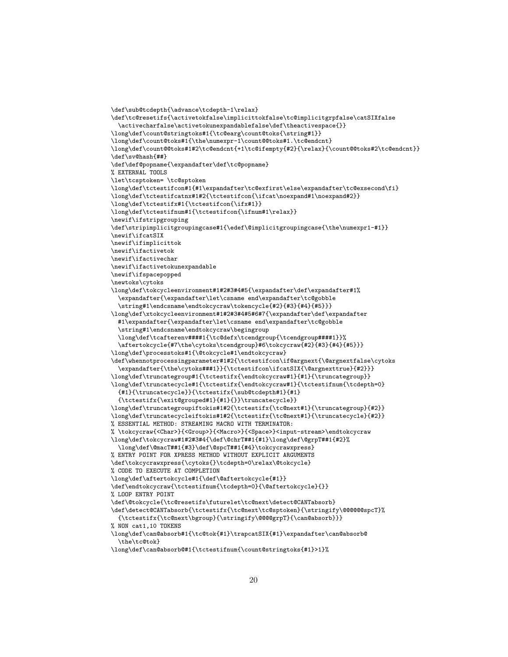```
\def\sub@tcdepth{\advance\tcdepth-1\relax}
\def\tc@resetifs{\activetokfalse\implicittokfalse\tc@implicitgrpfalse\catSIXfalse
  \activecharfalse\activetokunexpandablefalse\def\theactivespace{}}
\long\def\count@stringtoks#1{\tc@earg\count@toks{\string#1}}
\long\def\count@toks#1{\the\numexpr-1\count@@toks#1.\tc@endcnt}
\long\def\count@@toks#1#2\tc@endcnt{+1\tc@ifempty{#2}{\relax}{\count@@toks#2\tc@endcnt}}
\def\sv@hash{##}
\def\def@popname{\expandafter\def\tc@popname}
% EXTERNAL TOOLS
\let\tcsptoken= \tc@sptoken
\long\def\tctestifcon#1{#1\expandafter\tc@exfirst\else\expandafter\tc@exsecond\fi}
\long\def\tctestifcatnx#1#2{\tctestifcon{\ifcat\noexpand#1\noexpand#2}}
\long\def\tctestifx#1{\tctestifcon{\ifx#1}}
\long\def\tctestifnum#1{\tctestifcon{\ifnum#1\relax}}
\newif\ifstripgrouping
\def\stripimplicitgroupingcase#1{\edef\@implicitgroupingcase{\the\numexpr1-#1}}
\newif\ifcatSIX
\newif\ifimplicittok
\newif\ifactivetok
\newif\ifactivechar
\newif\ifactivetokunexpandable
\newif\ifspacepopped
\newtoks\cytoks
\long\def\tokcycleenvironment#1#2#3#4#5{\expandafter\def\expandafter#1%
  \expandafter{\expandafter\let\csname end\expandafter\tc@gobble
  \string#1\endcsname\endtokcycraw\tokencycle{#2}{#3}{#4}{#5}}}
\long\def\xtokcycleenvironment#1#2#3#4#5#6#7{\expandafter\def\expandafter
  #1\expandafter{\expandafter\let\csname end\expandafter\tc@gobble
  \string#1\endcsname\endtokcycraw\begingroup
  \long\def\tcafterenv####1{\tc@defx\tcendgroup{\tcendgroup####1}}%
  \aftertokcycle{#7\the\cytoks\tcendgroup}#6\tokcycraw{#2}{#3}{#4}{#5}}}
\long\def\processtoks#1{\@tokcycle#1\endtokcycraw}
\def\whennotprocessingparameter#1#2{\tctestifcon\if@argnext{\@argnextfalse\cytoks
  \expandafter{\the\cytoks###1}}{\tctestifcon\ifcatSIX{\@argnexttrue}{#2}}}
\long\def\truncategroup#1{\tctestifx{\endtokcycraw#1}{#1}{\truncategroup}}
\long\def\truncatecycle#1{\tctestifx{\endtokcycraw#1}{\tctestifnum{\tcdepth=0}
  {#1}{\truncatecycle}}{\tctestifx{\sub@tcdepth#1}{#1}
  {\tctestifx{\exit@grouped#1}{#1}{}}\truncatecycle}}
\long\def\truncategroupiftokis#1#2{\tctestifx{\tc@next#1}{\truncategroup}{#2}}
\long\def\truncatecycleiftokis#1#2{\tctestifx{\tc@next#1}{\truncatecycle}{#2}}
% ESSENTIAL METHOD: STREAMING MACRO WITH TERMINATOR:
% \tokcycraw{<Char>}{<Group>}{<Macro>}{<Space>}<input-stream>\endtokcycraw
\long\def\tokcycraw#1#2#3#4{\def\@chrT##1{#1}\long\def\@grpT##1{#2}%
  \long\def\@macT##1{#3}\def\@spcT##1{#4}\tokcycrawxpress}
% ENTRY POINT FOR XPRESS METHOD WITHOUT EXPLICIT ARGUMENTS
\def\tokcycrawxpress{\cytoks{}\tcdepth=0\relax\@tokcycle}
% CODE TO EXECUTE AT COMPLETION
\long\def\aftertokcycle#1{\def\@aftertokcycle{#1}}
\def\endtokcycraw{\tctestifnum{\tcdepth=0}{\@aftertokcycle}{}}
% LOOP ENTRY POINT
\def\@tokcycle{\tc@resetifs\futurelet\tc@next\detect@CANTabsorb}
\def\detect@CANTabsorb{\tctestifx{\tc@next\tc@sptoken}{\stringify\@@@@@@spcT}%
  {\tctestifx{\tc@next\bgroup}{\stringify\@@@@grpT}{\can@absorb}}}
% NON cat1,10 TOKENS
\long\def\can@absorb#1{\tc@tok{#1}\trapcatSIX{#1}\expandafter\can@absorb@
  \the\tc@tok}
\long\def\can@absorb@#1{\tctestifnum{\count@stringtoks{#1}>1}%
```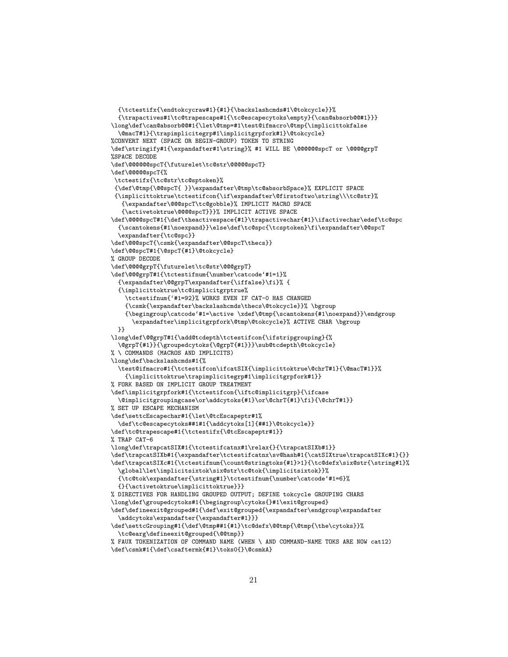```
{\trapactives#1\tc@trapescape#1{\tc@escapecytoks\empty}{\can@absorb@@#1}}}
\long\def\can@absorb@@#1{\let\@tmp=#1\test@ifmacro\@tmp{\implicittokfalse
  \@macT#1}{\trapimplicitegrp#1\implicitgrpfork#1}\@tokcycle}
%CONVERT NEXT (SPACE OR BEGIN-GROUP) TOKEN TO STRING
\def\stringify#1{\expandafter#1\string}% #1 WILL BE \@@@@@spcT or \@@@grpT
%SPACE DECODE
\def\@@@@@@spcT{\futurelet\tc@str\@@@@@spcT}
\def\@@@@@spcT{%
 \tctestifx{\tc@str\tc@sptoken}%
 {\def\@tmp{\@@spcT{ }}\expandafter\@tmp\tc@absorbSpace}% EXPLICIT SPACE
 {\implicittoktrue\tctestifcon{\if\expandafter\@firstoftwo\string\\\tc@str}%
   {\expandafter\@@@spcT\tc@gobble}% IMPLICIT MACRO SPACE
   {\activetoktrue\@@@@spcT}}}% IMPLICIT ACTIVE SPACE
\def\@@@@spcT#1{\def\theactivespace{#1}\trapactivechar{#1}\ifactivechar\edef\tc@spc
  {\scantokens{#1\noexpand}}\else\def\tc@spc{\tcsptoken}\fi\expandafter\@@spcT
  \expandafter{\tc@spc}}
\def\@@@spcT{\csmk{\expandafter\@@spcT\thecs}}
\def\@@spcT#1{\@spcT{#1}\@tokcycle}
% GROUP DECODE
\def\@@@@grpT{\futurelet\tc@str\@@@grpT}
\def\@@@grpT#1{\tctestifnum{\number\catcode'#1=1}%
  {\expandafter\@@grpT\expandafter{\iffalse}\fi}% {
  {\implicittoktrue\tc@implicitgrptrue%
    \tctestifnum{'#1=92}% WORKS EVEN IF CAT-0 HAS CHANGED
    {\csmk{\expandafter\backslashcmds\thecs\@tokcycle}}% \bgroup
    {\begingroup\catcode'#1=\active \xdef\@tmp{\scantokens{#1\noexpand}}\endgroup
      \expandafter\implicitgrpfork\@tmp\@tokcycle}% ACTIVE CHAR \bgroup
  }}
\long\def\@@grpT#1{\add@tcdepth\tctestifcon{\ifstripgrouping}{%
  \@grpT{#1}}{\groupedcytoks{\@grpT{#1}}}\sub@tcdepth\@tokcycle}
% \ COMMANDS (MACROS AND IMPLICITS)
\long\def\backslashcmds#1{%
  \test@ifmacro#1{\tctestifcon\ifcatSIX{\implicittoktrue\@chrT#1}{\@macT#1}}%
    {\implicittoktrue\trapimplicitegrp#1\implicitgrpfork#1}}
% FORK BASED ON IMPLICIT GROUP TREATMENT
\def\implicitgrpfork#1{\tctestifcon{\iftc@implicitgrp}{\ifcase
  \@implicitgroupingcase\or\addcytoks{#1}\or\@chrT{#1}\fi}{\@chrT#1}}
% SET UP ESCAPE MECHANISM
\def\settcEscapechar#1{\let\@tcEscapeptr#1%
  \def\tc@escapecytoks##1#1{\addcytoks[1]{##1}\@tokcycle}}
\def\tc@trapescape#1{\tctestifx{\@tcEscapeptr#1}}
% TRAP CAT-6
\long\def\trapcatSIX#1{\tctestifcatnx#1\relax{}{\trapcatSIXb#1}}
\def\trapcatSIXb#1{\expandafter\tctestifcatnx\sv@hash#1{\catSIXtrue\trapcatSIXc#1}{}}
\def\trapcatSIXc#1{\tctestifnum{\count@stringtoks{#1}>1}{\tc@defx\six@str{\string#1}%
  \global\let\implicitsixtok\six@str\tc@tok{\implicitsixtok}}%
  {\tc@tok\expandafter{\string#1}\tctestifnum{\number\catcode'#1=6}%
  {}{\activetoktrue\implicittoktrue}}}
% DIRECTIVES FOR HANDLING GROUPED OUTPUT; DEFINE tokcycle GROUPING CHARS
\long\def\groupedcytoks#1{\begingroup\cytoks{}#1\exit@grouped}
\def\defineexit@grouped#1{\def\exit@grouped{\expandafter\endgroup\expandafter
  \addcytoks\expandafter{\expandafter#1}}}
\def\settcGrouping#1{\def\@tmp##1{#1}\tc@defx\@@tmp{\@tmp{\the\cytoks}}%
  \tc@earg\defineexit@grouped{\@@tmp}}
% FAUX TOKENIZATION OF COMMAND NAME (WHEN \ AND COMMAND-NAME TOKS ARE NOW cat12)
```
{\tctestifx{\endtokcycraw#1}{#1}{\backslashcmds#1\@tokcycle}}%

```
\def\csmk#1{\def\csaftermk{#1}\toks0{}\@csmkA}
```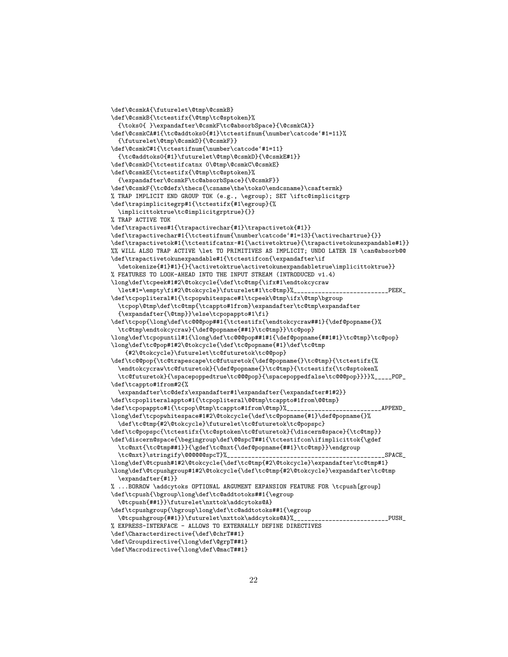```
\def\@csmkA{\futurelet\@tmp\@csmkB}
\def\@csmkB{\tctestifx{\@tmp\tc@sptoken}%
  {\toks0{ }\expandafter\@csmkF\tc@absorbSpace}{\@csmkCA}}
\def\@csmkCA#1{\tc@addtoks0{#1}\tctestifnum{\number\catcode'#1=11}%
  {\futurelet\@tmp\@csmkD}{\@csmkF}}
\def\@csmkC#1{\tctestifnum{\number\catcode'#1=11}
  {\tc@addtoks0{#1}\futurelet\@tmp\@csmkD}{\@csmkE#1}}
\def\@csmkD{\tctestifcatnx 0\@tmp\@csmkC\@csmkE}
\def\@csmkE{\tctestifx{\@tmp\tc@sptoken}%
  {\expandafter\@csmkF\tc@absorbSpace}{\@csmkF}}
\def\@csmkF{\tc@defx\thecs{\csname\the\toks0\endcsname}\csaftermk}
% TRAP IMPLICIT END GROUP TOK (e.g., \egroup); SET \iftc@implicitgrp
\def\trapimplicitegrp#1{\tctestifx{#1\egroup}{%
  \implicittoktrue\tc@implicitgrptrue}{}}
% TRAP ACTIVE TOK
\def\trapactives#1{\trapactivechar{#1}\trapactivetok{#1}}
\label{thm:main} $$\def\mapsto \char`{tctestifnum{\humber\catcode{#1=13}}{\activechartrue}{\}$$\def\trapactivetok#1{\tctestifcatnx~#1{\activetoktrue}{\trapactivetokunexpandable#1}}
%% WILL ALSO TRAP ACTIVE \let TO PRIMITIVES AS IMPLICIT; UNDO LATER IN \can@absorb@@
\def\trapactivetokunexpandable#1{\tctestifcon{\expandafter\if
  \detokenize{#1}#1}{}{\activetoktrue\activetokunexpandabletrue\implicittoktrue}}
% FEATURES TO LOOK-AHEAD INTO THE INPUT STREAM (INTRODUCED v1.4)
\long\def\tcpeek#1#2\@tokcycle{\def\tc@tmp{\ifx#1\endtokcycraw
  \let#1=\empty\fi#2\@tokcycle}\futurelet#1\tc@tmp}%___________________________PEEK_
\def\tcpopliteral#1{\tcpopwhitespace#1\tcpeek\@tmp\ifx\@tmp\bgroup
  \tcpop\@tmp\def\tc@tmp{\tcappto#1from}\expandafter\tc@tmp\expandafter
  {\expandafter{\@tmp}}\else\tcpopappto#1\fi}
\def\tcpop{\long\def\tc@@@pop##1{\tctestifx{\endtokcycraw##1}{\def@popname{}%
  \tc@tmp\endtokcycraw}{\def@popname{##1}\tc@tmp}}\tc@pop}
\long\def\tcpopuntil#1{\long\def\tc@@@pop##1#1{\def@popname{##1#1}\tc@tmp}\tc@pop}
\long\def\tc@pop#1#2\@tokcycle{\def\tc@popname{#1}\def\tc@tmp
    {#2\@tokcycle}\futurelet\tc@futuretok\tc@@pop}
\def\tc@@pop{\tc@trapescape\tc@futuretok{\def@popname{}\tc@tmp}{\tctestifx{%
  \endtokcycraw\tc@futuretok}{\def@popname{}\tc@tmp}{\tctestifx{\tc@sptoken%
  \tc@futuretok}{\spacepoppedtrue\tc@@@pop}{\spacepoppedfalse\tc@@@pop}}}}%_____POP_
\def\tcappto#1from#2{%
  \expandafter\tc@defx\expandafter#1\expandafter{\expandafter#1#2}}
\def\tcpopliteralappto#1{\tcpopliteral\@@tmp\tcappto#1from\@@tmp}
\def\tcpopappto#1{\tcpop\@tmp\tcappto#1from\@tmp}%___________________________APPEND_
\long\def\tcpopwhitespace#1#2\@tokcycle{\def\tc@popname{#1}\def@popname{}%
  \def\tc@tmp{#2\@tokcycle}\futurelet\tc@futuretok\tc@popspc}
\def\tc@popspc{\tctestifx{\tc@sptoken\tc@futuretok}{\discern@space}{\tc@tmp}}
\def\discern@space{\begingroup\def\@@spcT##1{\tctestifcon\ifimplicittok{\gdef
  \tc@nxt{\tc@tmp##1}}{\gdef\tc@nxt{\def@popname{##1}\tc@tmp}}\endgroup
  \tc@nxt}\stringify\@@@@@@spcT}%_____________________________________________SPACE_
\long\def\@tcpush#1#2\@tokcycle{\def\tc@tmp{#2\@tokcycle}\expandafter\tc@tmp#1}
\long\def\@tcpushgroup#1#2\@tokcycle{\def\tc@tmp{#2\@tokcycle}\expandafter\tc@tmp
  \expandafter{#1}}
% ...BORROW \addcytoks OPTIONAL ARGUMENT EXPANSION FEATURE FOR \tcpush[group]
\def\tcpush{\bgroup\long\def\tc@addtotoks##1{\egroup
  \@tcpush{##1}}\futurelet\nxttok\addcytoks@A}
\def\tcpushgroup{\bgroup\long\def\tc@addtotoks##1{\egroup
  \@tcpushgroup{##1}}\futurelet\nxttok\addcytoks@A}%______________________________PUSH_
% EXPRESS-INTERFACE - ALLOWS TO EXTERNALLY DEFINE DIRECTIVES
\def\Characterdirective{\def\@chrT##1}
\def\Groupdirective{\long\def\@grpT##1}
```

```
\def\Macrodirective{\long\def\@macT##1}
```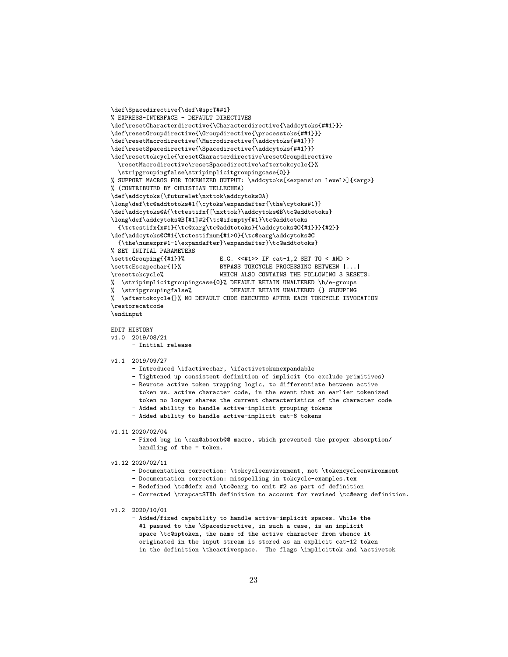```
\def\Spacedirective{\def\@spcT##1}
% EXPRESS-INTERFACE - DEFAULT DIRECTIVES
\def\resetCharacterdirective{\Characterdirective{\addcytoks{##1}}}
\def\resetGroupdirective{\Groupdirective{\processtoks{##1}}}
\def\resetMacrodirective{\Macrodirective{\addcytoks{##1}}}
\def\resetSpacedirective{\Spacedirective{\addcytoks{##1}}}
\def\resettokcycle{\resetCharacterdirective\resetGroupdirective
  \resetMacrodirective\resetSpacedirective\aftertokcycle{}%
  \stripgroupingfalse\stripimplicitgroupingcase{0}}
% SUPPORT MACROS FOR TOKENIZED OUTPUT: \addcytoks[<expansion level>]{<arg>}
% (CONTRIBUTED BY CHRISTIAN TELLECHEA)
\def\addcytoks{\futurelet\nxttok\addcytoks@A}
\long\def\tc@addtotoks#1{\cytoks\expandafter{\the\cytoks#1}}
\def\addcytoks@A{\tctestifx{[\nxttok}\addcytoks@B\tc@addtotoks}
\long\def\addcytoks@B[#1]#2{\tc@ifempty{#1}\tc@addtotoks
  {\tctestifx{x#1}{\tc@xarg\tc@addtotoks}{\addcytoks@C{#1}}}{#2}}
\def\addcytoks@C#1{\tctestifnum{#1>0}{\tc@earg\addcytoks@C
  {\the\numexpr#1-1\expandafter}\expandafter}\tc@addtotoks}
% SET INITIAL PARAMETERS<br>\settcGrouping{{#1}}%
                               E.G. \langle {\langle +1 \rangle} \rangle IF cat-1,2 SET TO \langle AND \rangle\settcEscapechar{|}% BYPASS TOKCYCLE PROCESSING BETWEEN |...|
\resettokcycle% WHICH ALSO CONTAINS THE FOLLOWING 3 RESETS:
% \stripimplicitgroupingcase{0}% DEFAULT RETAIN UNALTERED \b/e-groups
% \stripgroupingfalse% DEFAULT RETAIN UNALTERED {} GROUPING
% \aftertokcycle{}% NO DEFAULT CODE EXECUTED AFTER EACH TOKCYCLE INVOCATION
\restorecatcode
\endinput
```
## EDIT HISTORY

- v1.0 2019/08/21
	- Initial release

### v1.1 2019/09/27

- Introduced \ifactivechar, \ifactivetokunexpandable
- Tightened up consistent definition of implicit (to exclude primitives) - Rewrote active token trapping logic, to differentiate between active token vs. active character code, in the event that an earlier tokenized token no longer shares the current characteristics of the character code - Added ability to handle active-implicit grouping tokens
- Added ability to handle active-implicit cat-6 tokens

#### v1.11 2020/02/04

- Fixed bug in \can@absorb@@ macro, which prevented the proper absorption/ handling of the = token.

#### v1.12 2020/02/11

- Documentation correction: \tokcycleenvironment, not \tokencycleenvironment
- Documentation correction: misspelling in tokcycle-examples.tex
- Redefined \tc@defx and \tc@earg to omit #2 as part of definition
- Corrected \trapcatSIXb definition to account for revised \tc@earg definition.
- v1.2 2020/10/01
	- Added/fixed capability to handle active-implicit spaces. While the #1 passed to the \Spacedirective, in such a case, is an implicit space \tc@sptoken, the name of the active character from whence it originated in the input stream is stored as an explicit cat-12 token in the definition \theactivespace. The flags \implicittok and \activetok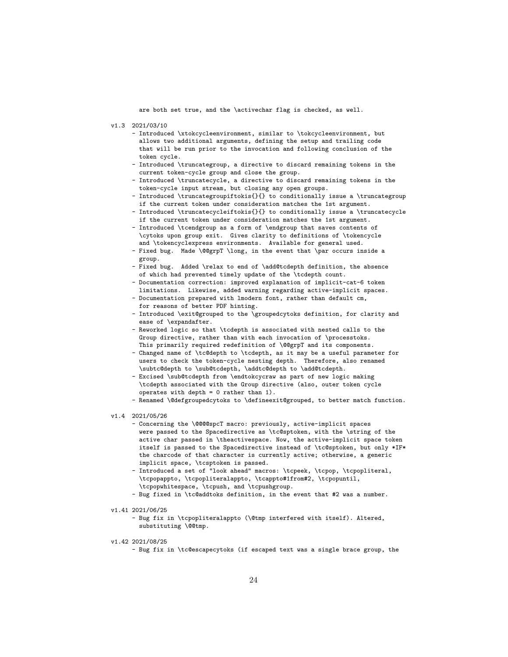are both set true, and the \activechar flag is checked, as well.

- v1.3 2021/03/10
	- Introduced \xtokcycleenvironment, similar to \tokcycleenvironment, but allows two additional arguments, defining the setup and trailing code that will be run prior to the invocation and following conclusion of the token cycle.
	- Introduced \truncategroup, a directive to discard remaining tokens in the current token-cycle group and close the group.
	- Introduced \truncatecycle, a directive to discard remaining tokens in the token-cycle input stream, but closing any open groups.
	- Introduced \truncategroupiftokis{}{} to conditionally issue a \truncategroup if the current token under consideration matches the 1st argument.
	- Introduced \truncatecycleiftokis{}{} to conditionally issue a \truncatecycle if the current token under consideration matches the 1st argument.
	- Introduced \tcendgroup as a form of \endgroup that saves contents of \cytoks upon group exit. Gives clarity to definitions of \tokencycle and \tokencyclexpress environments. Available for general used.
	- Fixed bug. Made \@@grpT \long, in the event that \par occurs inside a group.
	- Fixed bug. Added \relax to end of \add@tcdepth definition, the absence of which had prevented timely update of the \tcdepth count.
	- Documentation correction: improved explanation of implicit-cat-6 token limitations. Likewise, added warning regarding active-implicit spaces.
	- Documentation prepared with lmodern font, rather than default cm, for reasons of better PDF hinting.
	- Introduced \exit@grouped to the \groupedcytoks definition, for clarity and ease of \expandafter.
	- Reworked logic so that \tcdepth is associated with nested calls to the Group directive, rather than with each invocation of \processtoks. This primarily required redefinition of \@@grpT and its components.
	- Changed name of \tc@depth to \tcdepth, as it may be a useful parameter for users to check the token-cycle nesting depth. Therefore, also renamed \subtc@depth to \sub@tcdepth, \addtc@depth to \add@tcdepth.
	- Excised \sub@tcdepth from \endtokcycraw as part of new logic making \tcdepth associated with the Group directive (also, outer token cycle operates with depth = 0 rather than 1).
	- Renamed \@defgroupedcytoks to \defineexit@grouped, to better match function.
- v1.4 2021/05/26
	- Concerning the \@@@@spcT macro: previously, active-implicit spaces were passed to the Spacedirective as \tc@sptoken, with the \string of the active char passed in \theactivespace. Now, the active-implicit space token itself is passed to the Spacedirective instead of \tc@sptoken, but only \*IF\* the charcode of that character is currently active; otherwise, a generic implicit space, \tcsptoken is passed.
	- Introduced a set of "look ahead" macros: \tcpeek, \tcpop, \tcpopliteral, \tcpopappto, \tcpopliteralappto, \tcappto#1from#2, \tcpopuntil, \tcpopwhitespace, \tcpush, and \tcpushgroup.
	- Bug fixed in \tc@addtoks definition, in the event that #2 was a number.
- v1.41 2021/06/25
	- Bug fix in \tcpopliteralappto (\@tmp interfered with itself). Altered, substituting \@@tmp.
- v1.42 2021/08/25
	- Bug fix in \tc@escapecytoks (if escaped text was a single brace group, the